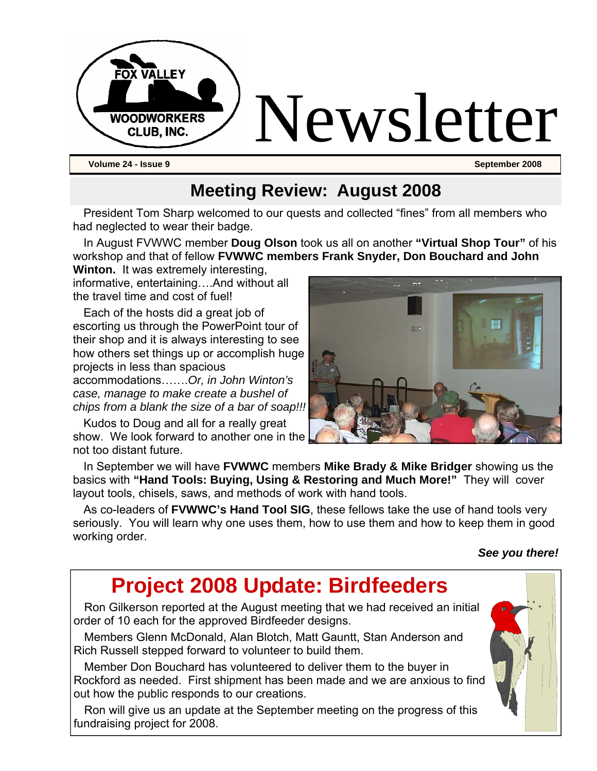

#### **Meeting Review: August 2008**

President Tom Sharp welcomed to our quests and collected "fines" from all members who had neglected to wear their badge.

In August FVWWC member **Doug Olson** took us all on another **"Virtual Shop Tour"** of his workshop and that of fellow **FVWWC members Frank Snyder, Don Bouchard and John** 

**Winton.** It was extremely interesting, informative, entertaining….And without all the travel time and cost of fuel!

Each of the hosts did a great job of escorting us through the PowerPoint tour of their shop and it is always interesting to see how others set things up or accomplish huge projects in less than spacious

accommodations…….*Or, in John Winton's case, manage to make create a bushel of chips from a blank the size of a bar of soap!!!*

Kudos to Doug and all for a really great show. We look forward to another one in the not too distant future.



In September we will have **FVWWC** members **Mike Brady & Mike Bridger** showing us the basics with **"Hand Tools: Buying, Using & Restoring and Much More!"** They will cover layout tools, chisels, saws, and methods of work with hand tools.

As co-leaders of **FVWWC's Hand Tool SIG**, these fellows take the use of hand tools very seriously. You will learn why one uses them, how to use them and how to keep them in good working order.

#### *See you there!*

# **Project 2008 Update: Birdfeeders**

Ron Gilkerson reported at the August meeting that we had received an initial order of 10 each for the approved Birdfeeder designs.

Members Glenn McDonald, Alan Blotch, Matt Gauntt, Stan Anderson and Rich Russell stepped forward to volunteer to build them.

Member Don Bouchard has volunteered to deliver them to the buyer in Rockford as needed. First shipment has been made and we are anxious to find out how the public responds to our creations.

Ron will give us an update at the September meeting on the progress of this fundraising project for 2008.

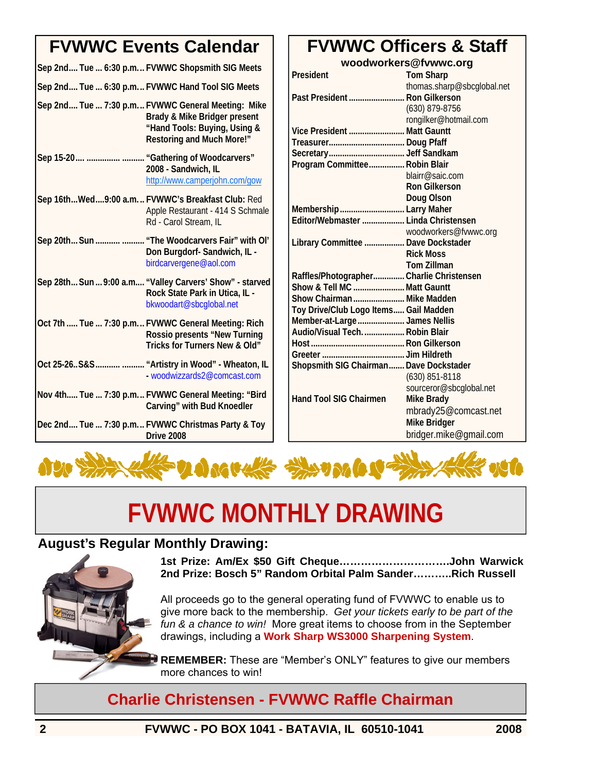#### **FVWWC Events Calendar**

| Sep 2nd Tue  6:30 p.m FVWWC Shopsmith SIG Meets                                                                                                       |
|-------------------------------------------------------------------------------------------------------------------------------------------------------|
| Sep 2nd Tue  6:30 p.m.  FVWWC Hand Tool SIG Meets                                                                                                     |
| Sep 2nd Tue  7:30 p.m FVWWC General Meeting: Mike<br>Brady & Mike Bridger present<br>"Hand Tools: Buying, Using &<br><b>Restoring and Much More!"</b> |
| Sep 15-20   "Gathering of Woodcarvers"<br>2008 - Sandwich, IL<br>http://www.camperjohn.com/gow                                                        |
| Sep 16thWed9:00 a.m FVWWC's Breakfast Club: Red<br>Apple Restaurant - 414 S Schmale<br>Rd - Carol Stream, IL                                          |
| Sep 20th Sun   "The Woodcarvers Fair" with Ol'<br>Don Burgdorf-Sandwich, IL -<br>birdcarvergene@aol.com                                               |
| Sep 28th Sun  9:00 a.m "Valley Carvers' Show" - starved<br>Rock State Park in Utica, IL -<br>bkwoodart@sbcglobal.net                                  |
| Oct 7th  Tue  7:30 p.m FVWWC General Meeting: Rich<br>Rossio presents "New Turning<br>Tricks for Turners New & Old"                                   |
| Oct 25-26S&S  "Artistry in Wood" - Wheaton, IL<br>- woodwizzards2@comcast.com                                                                         |
| Nov 4th Tue  7:30 p.m FVWWC General Meeting: "Bird<br>Carving" with Bud Knoedler                                                                      |
| Dec 2nd Tue  7:30 p.m FVWWC Christmas Party & Toy<br>Drive 2008                                                                                       |

### **FVWWC Officers & Staff**

| woodworkers@fvwwc.org                    |                            |  |
|------------------------------------------|----------------------------|--|
| President                                | <b>Tom Sharp</b>           |  |
|                                          | thomas.sharp@sbcglobal.net |  |
| Past President  Ron Gilkerson            |                            |  |
|                                          | (630) 879-8756             |  |
|                                          | rongilker@hotmail.com      |  |
| Vice President  Matt Gauntt              |                            |  |
|                                          |                            |  |
|                                          |                            |  |
| Program Committee Robin Blair            |                            |  |
|                                          | blairr@saic.com            |  |
|                                          | <b>Ron Gilkerson</b>       |  |
|                                          | <b>Doug Olson</b>          |  |
| Membership  Larry Maher                  |                            |  |
| Editor/Webmaster  Linda Christensen      |                            |  |
|                                          | woodworkers@fvwwc.org      |  |
| Library Committee  Dave Dockstader       |                            |  |
|                                          | <b>Rick Moss</b>           |  |
|                                          | <b>Tom Zillman</b>         |  |
| Raffles/Photographer Charlie Christensen |                            |  |
| Show & Tell MC  Matt Gauntt              |                            |  |
| Show Chairman  Mike Madden               |                            |  |
| Toy Drive/Club Logo Items Gail Madden    |                            |  |
| Member-at-Large  James Nellis            |                            |  |
| Audio/Visual Tech.  Robin Blair          |                            |  |
|                                          |                            |  |
|                                          |                            |  |
| Shopsmith SIG Chairman Dave Dockstader   |                            |  |
|                                          | (630) 851-8118             |  |
|                                          | sourceror@sbcglobal.net    |  |
| <b>Hand Tool SIG Chairmen</b>            | <b>Mike Brady</b>          |  |
|                                          | mbrady25@comcast.net       |  |
|                                          | <b>Mike Bridger</b>        |  |
|                                          | bridger.mike@gmail.com     |  |
|                                          |                            |  |



# **FVWWC MONTHLY DRAWING**

#### **August's Regular Monthly Drawing:**



**1st Prize: Am/Ex \$50 Gift Cheque………………………….John Warwick 2nd Prize: Bosch 5" Random Orbital Palm Sander………..Rich Russell** 

All proceeds go to the general operating fund of FVWWC to enable us to give more back to the membership. *Get your tickets early to be part of the fun & a chance to win!* More great items to choose from in the September drawings, including a **Work Sharp WS3000 Sharpening System**.

**REMEMBER:** These are "Member's ONLY" features to give our members more chances to win!

**Charlie Christensen - FVWWC Raffle Chairman**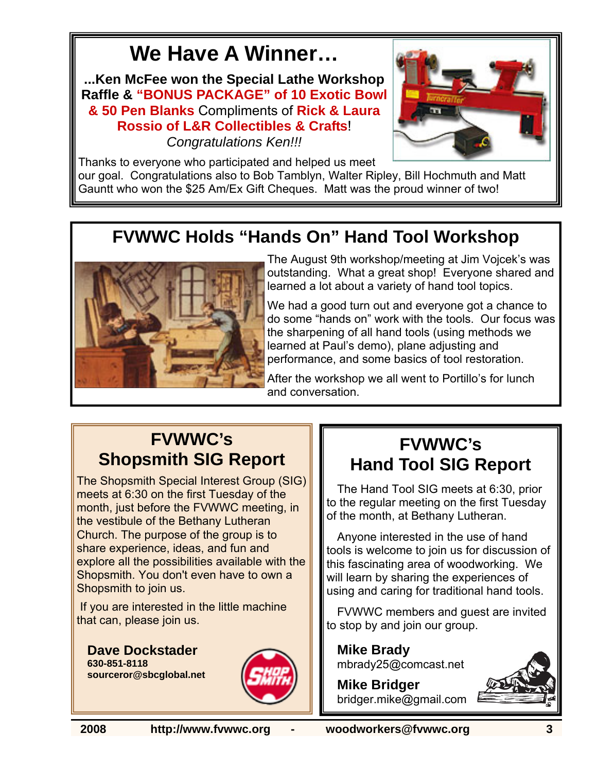# **We Have A Winner…**

**...Ken McFee won the Special Lathe Workshop Raffle & "BONUS PACKAGE" of 10 Exotic Bowl & 50 Pen Blanks** Compliments of **Rick & Laura Rossio of L&R Collectibles & Crafts**! *Congratulations Ken!!!* 



Thanks to everyone who participated and helped us meet our goal. Congratulations also to Bob Tamblyn, Walter Ripley, Bill Hochmuth and Matt Gauntt who won the \$25 Am/Ex Gift Cheques. Matt was the proud winner of two!

## **FVWWC Holds "Hands On" Hand Tool Workshop**



The August 9th workshop/meeting at Jim Vojcek's was outstanding. What a great shop! Everyone shared and learned a lot about a variety of hand tool topics.

We had a good turn out and everyone got a chance to do some "hands on" work with the tools. Our focus was the sharpening of all hand tools (using methods we learned at Paul's demo), plane adjusting and performance, and some basics of tool restoration.

After the workshop we all went to Portillo's for lunch and conversation.

#### **FVWWC's Shopsmith SIG Report**

The Shopsmith Special Interest Group (SIG) meets at 6:30 on the first Tuesday of the month, just before the FVWWC meeting, in the vestibule of the Bethany Lutheran Church. The purpose of the group is to share experience, ideas, and fun and explore all the possibilities available with the Shopsmith. You don't even have to own a Shopsmith to join us.

 If you are interested in the little machine that can, please join us.

**Dave Dockstader 630-851-8118 sourceror@sbcglobal.net**



#### **FVWWC's Hand Tool SIG Report**

The Hand Tool SIG meets at 6:30, prior to the regular meeting on the first Tuesday of the month, at Bethany Lutheran.

Anyone interested in the use of hand tools is welcome to join us for discussion of this fascinating area of woodworking. We will learn by sharing the experiences of using and caring for traditional hand tools.

FVWWC members and guest are invited to stop by and join our group.

**Mike Brady**  mbrady25@comcast.net

**Mike Bridger**  bridger.mike@gmail.com



**2008 http://www.fvwwc.org - woodworkers@fvwwc.org 3**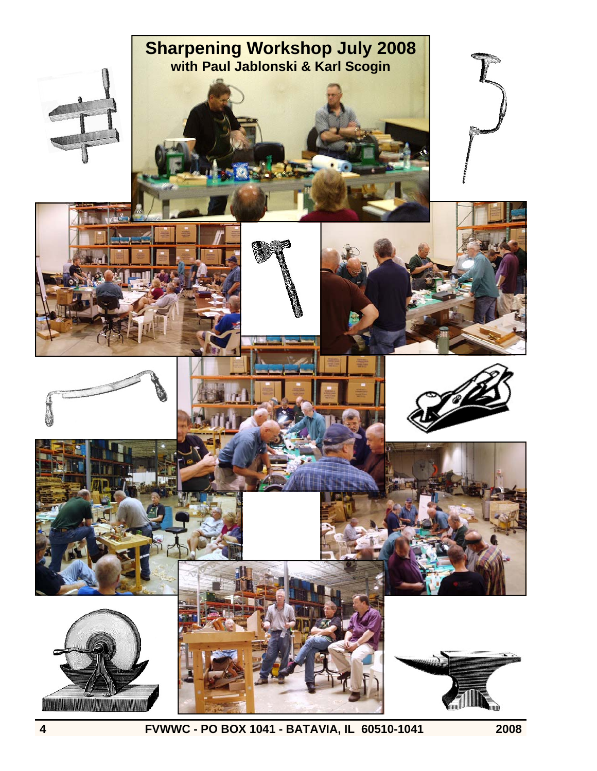

**4 FVWWC - PO BOX 1041 - BATAVIA, IL 60510-1041 2008**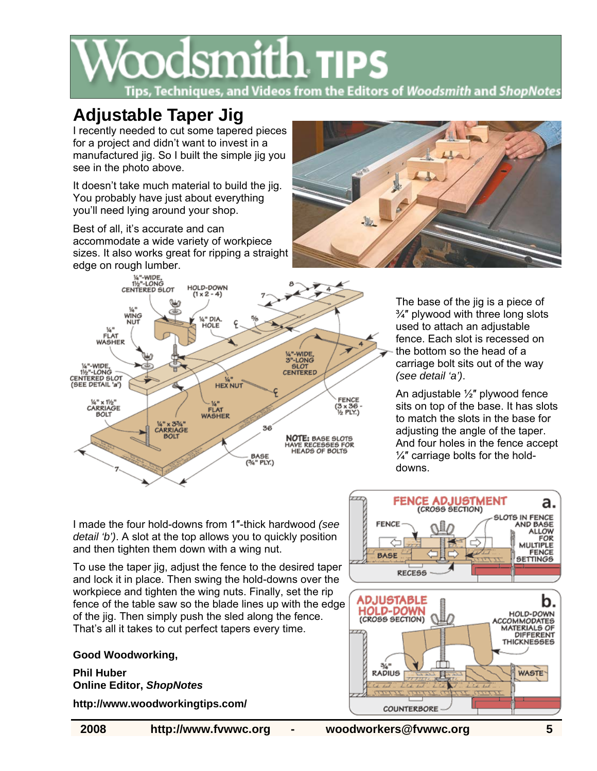

#### **Adjustable Taper Jig**

I recently needed to cut some tapered pieces for a project and didn't want to invest in a manufactured jig. So I built the simple jig you see in the photo above.

It doesn't take much material to build the jig. You probably have just about everything you'll need lying around your shop.

Best of all, it's accurate and can accommodate a wide variety of workpiece sizes. It also works great for ripping a straight edge on rough lumber.





The base of the jig is a piece of ¾″ plywood with three long slots used to attach an adjustable fence. Each slot is recessed on the bottom so the head of a carriage bolt sits out of the way *(see detail 'a')*.

An adjustable ½″ plywood fence sits on top of the base. It has slots to match the slots in the base for adjusting the angle of the taper. And four holes in the fence accept  $\frac{1}{4}$ " carriage bolts for the holddowns.

I made the four hold-downs from 1″-thick hardwood *(see detail 'b')*. A slot at the top allows you to quickly position and then tighten them down with a wing nut.

To use the taper jig, adjust the fence to the desired taper and lock it in place. Then swing the hold-downs over the workpiece and tighten the wing nuts. Finally, set the rip fence of the table saw so the blade lines up with the edge of the jig. Then simply push the sled along the fence. That's all it takes to cut perfect tapers every time.

**Good Woodworking,** 

**Phil Huber Online Editor,** *ShopNotes* 

**http://www.woodworkingtips.com/** 



**2008 http://www.fvwwc.org - woodworkers@fvwwc.org 5**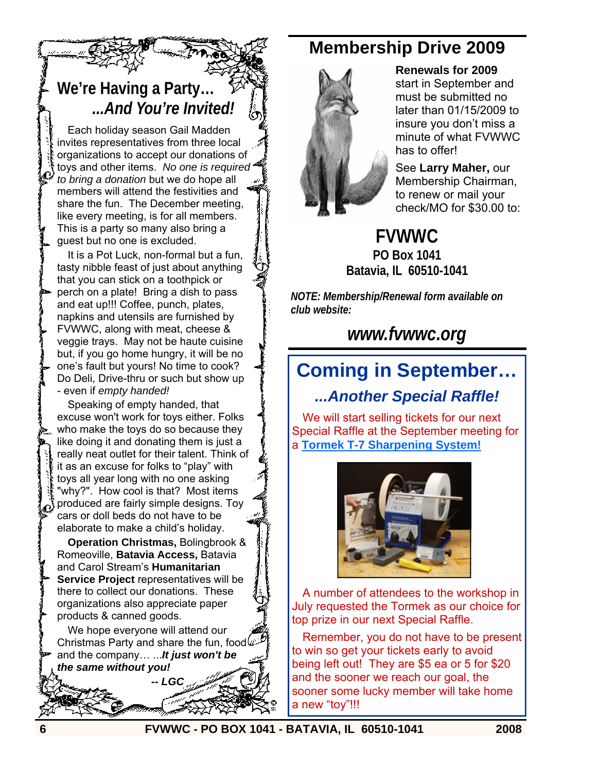#### **We're Having a Party…** *...And You're Invited!*

Each holiday season Gail Madden invites representatives from three local organizations to accept our donations of toys and other items. *No one is required to bring a donation* but we do hope all members will attend the festivities and share the fun. The December meeting, like every meeting, is for all members. This is a party so many also bring a guest but no one is excluded.

It is a Pot Luck, non-formal but a fun, tasty nibble feast of just about anything that you can stick on a toothpick or perch on a plate! Bring a dish to pass and eat up!!! Coffee, punch, plates, napkins and utensils are furnished by FVWWC, along with meat, cheese & veggie trays. May not be haute cuisine but, if you go home hungry, it will be no one's fault but yours! No time to cook? Do Deli, Drive-thru or such but show up - even if *empty handed!*

Speaking of empty handed, that excuse won't work for toys either. Folks who make the toys do so because they like doing it and donating them is just a really neat outlet for their talent. Think of it as an excuse for folks to "play" with toys all year long with no one asking "why?". How cool is that? Most items produced are fairly simple designs. Toy cars or doll beds do not have to be elaborate to make a child's holiday.

**Operation Christmas,** Bolingbrook & Romeoville, **Batavia Access,** Batavia and Carol Stream's **Humanitarian Service Project** representatives will be there to collect our donations. These organizations also appreciate paper products & canned goods.

We hope everyone will attend our Christmas Party and share the fun, food  $\mathbb Z$ and the company… ...*It just won't be the same without you!* 

 *-- LGC* 

#### **Membership Drive 2009**



#### **Renewals for 2009**

start in September and must be submitted no later than 01/15/2009 to insure you don't miss a minute of what FVWWC has to offer!

See **Larry Maher,** our Membership Chairman, to renew or mail your check/MO for \$30.00 to:

**FVWWC PO Box 1041 Batavia, IL 60510-1041**

*NOTE: Membership/Renewal form available on club website:* 

*www.fvwwc.org*

## **Coming in September…**  *...Another Special Raffle!*

We will start selling tickets for our next Special Raffle at the September meeting for a **Tormek T-7 Sharpening System!**



A number of attendees to the workshop in July requested the Tormek as our choice for top prize in our next Special Raffle.

Remember, you do not have to be present to win so get your tickets early to avoid being left out! They are \$5 ea or 5 for \$20 and the sooner we reach our goal, the sooner some lucky member will take home a new "toy"!!!

**6 FVWWC - PO BOX 1041 - BATAVIA, IL 60510-1041 2008**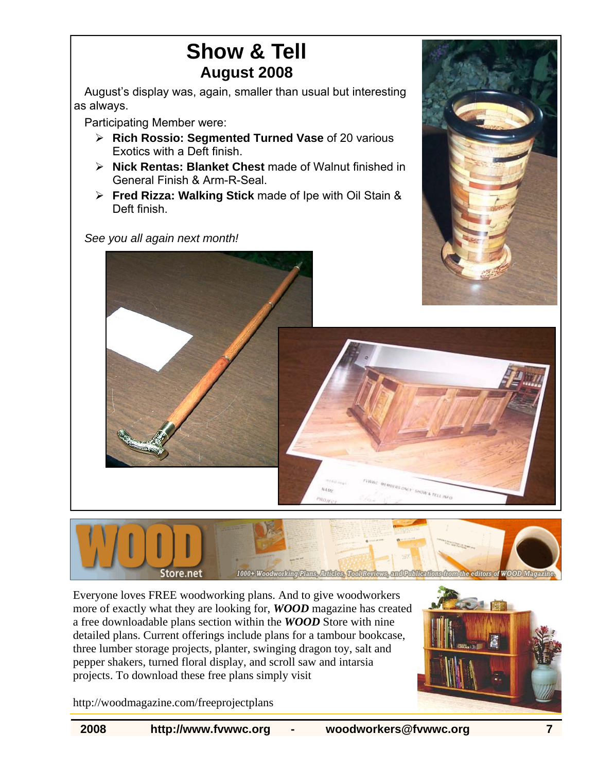## **Show & Tell August 2008**

August's display was, again, smaller than usual but interesting as always.

Participating Member were:

- ¾ **Rich Rossio: Segmented Turned Vase** of 20 various Exotics with a Deft finish.
- ¾ **Nick Rentas: Blanket Chest** made of Walnut finished in General Finish & Arm-R-Seal.
- ¾ **Fred Rizza: Walking Stick** made of Ipe with Oil Stain & Deft finish.

*See you all again next month!* 





Nate

Everyone loves FREE woodworking plans. And to give woodworkers more of exactly what they are looking for, *WOOD* magazine has created a free downloadable plans section within the *WOOD* Store with nine detailed plans. Current offerings include plans for a tambour bookcase, three lumber storage projects, planter, swinging dragon toy, salt and pepper shakers, turned floral display, and scroll saw and intarsia projects. To download these free plans simply visit



http://woodmagazine.com/freeprojectplans

MENSUNG TRUCK A TELL INFO